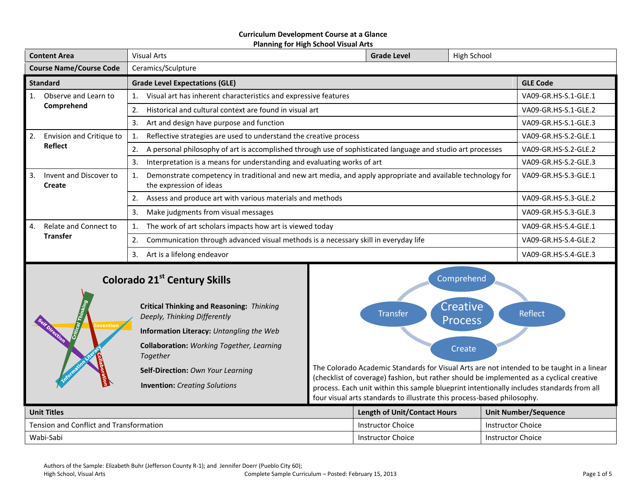#### **Curriculum Development Course at a Glance Planning for High School Visual Arts**

| <b>Content Area</b>            |                                  | <b>Visual Arts</b>                                                                                                                     | <b>Grade Level</b> | High School          |                      |  |
|--------------------------------|----------------------------------|----------------------------------------------------------------------------------------------------------------------------------------|--------------------|----------------------|----------------------|--|
| <b>Course Name/Course Code</b> |                                  | Ceramics/Sculpture                                                                                                                     |                    |                      |                      |  |
| <b>Standard</b>                |                                  | <b>Grade Level Expectations (GLE)</b>                                                                                                  | <b>GLE Code</b>    |                      |                      |  |
|                                | Observe and Learn to             | Visual art has inherent characteristics and expressive features                                                                        |                    |                      | VA09-GR.HS-S.1-GLE.1 |  |
|                                | Comprehend                       | Historical and cultural context are found in visual art                                                                                |                    |                      | VA09-GR.HS-S.1-GLE.2 |  |
|                                |                                  | 3.<br>Art and design have purpose and function                                                                                         |                    |                      | VA09-GR.HS-S.1-GLE.3 |  |
| 2.                             | Envision and Critique to         | Reflective strategies are used to understand the creative process                                                                      |                    |                      | VA09-GR.HS-S.2-GLE.1 |  |
|                                | Reflect                          | A personal philosophy of art is accomplished through use of sophisticated language and studio art processes                            |                    |                      | VA09-GR.HS-S.2-GLE.2 |  |
|                                |                                  | Interpretation is a means for understanding and evaluating works of art<br>3.                                                          |                    |                      | VA09-GR.HS-S.2-GLE.3 |  |
| 3.                             | Invent and Discover to<br>Create | Demonstrate competency in traditional and new art media, and apply appropriate and available technology for<br>the expression of ideas |                    |                      | VA09-GR.HS-S.3-GLE.1 |  |
|                                |                                  | Assess and produce art with various materials and methods                                                                              |                    |                      | VA09-GR.HS-S.3-GLE.2 |  |
|                                |                                  | 3.<br>Make judgments from visual messages                                                                                              |                    |                      | VA09-GR.HS-S.3-GLE.3 |  |
| 4.                             | Relate and Connect to            | The work of art scholars impacts how art is viewed today                                                                               |                    | VA09-GR.HS-S.4-GLE.1 |                      |  |
|                                | <b>Transfer</b>                  | Communication through advanced visual methods is a necessary skill in everyday life<br>2.                                              |                    |                      | VA09-GR.HS-S.4-GLE.2 |  |
|                                |                                  | Art is a lifelong endeavor<br>3.                                                                                                       |                    |                      | VA09-GR.HS-S.4-GLE.3 |  |
|                                |                                  |                                                                                                                                        |                    |                      |                      |  |

# **Colorado 21st Century Skills**

**Invention**

**Critical Thinking and Reasoning:** *Thinking Deeply, Thinking Differently* **Information Literacy:** *Untangling the Web* **Collaboration:** *Working Together, Learning Together*

**Self-Direction:** *Own Your Learning*

**Invention:** *Creating Solutions*



The Colorado Academic Standards for Visual Arts are not intended to be taught in a linear (checklist of coverage) fashion, but rather should be implemented as a cyclical creative process. Each unit within this sample blueprint intentionally includes standards from all four visual arts standards to illustrate this process-based philosophy.

| Unit Titles                             | <b>Length of Unit/Contact Hours</b> | Unit Number/Sequence     |
|-----------------------------------------|-------------------------------------|--------------------------|
| Tension and Conflict and Transformation | Instructor Choice                   | Instructor Choice        |
| Wabi-Sabi                               | Instructor Choice                   | <b>Instructor Choice</b> |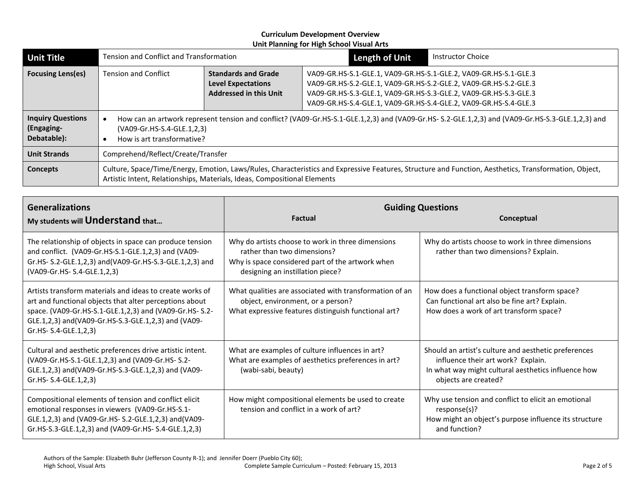| <b>Unit Title</b>                                                                                                                                                                                                                                    | Tension and Conflict and Transformation                                                                                                                                                                     |                                                                                          | <b>Length of Unit</b>                                                                                                                                                                                                                                                        | <b>Instructor Choice</b> |
|------------------------------------------------------------------------------------------------------------------------------------------------------------------------------------------------------------------------------------------------------|-------------------------------------------------------------------------------------------------------------------------------------------------------------------------------------------------------------|------------------------------------------------------------------------------------------|------------------------------------------------------------------------------------------------------------------------------------------------------------------------------------------------------------------------------------------------------------------------------|--------------------------|
| <b>Focusing Lens(es)</b>                                                                                                                                                                                                                             | <b>Tension and Conflict</b>                                                                                                                                                                                 | <b>Standards and Grade</b><br><b>Level Expectations</b><br><b>Addressed in this Unit</b> | VA09-GR.HS-S.1-GLE.1, VA09-GR.HS-S.1-GLE.2, VA09-GR.HS-S.1-GLE.3<br>VA09-GR.HS-S.2-GLE.1, VA09-GR.HS-S.2-GLE.2, VA09-GR.HS-S.2-GLE.3<br>VA09-GR.HS-S.3-GLE.1, VA09-GR.HS-S.3-GLE.2, VA09-GR.HS-S.3-GLE.3<br>VA09-GR.HS-S.4-GLE.1, VA09-GR.HS-S.4-GLE.2, VA09-GR.HS-S.4-GLE.3 |                          |
| <b>Inquiry Questions</b><br>(Engaging-<br>Debatable):                                                                                                                                                                                                | How can an artwork represent tension and conflict? (VA09-Gr.HS-S.1-GLE.1,2,3) and (VA09-Gr.HS-S.2-GLE.1,2,3) and (VA09-Gr.HS-S.3-GLE.1,2,3) and<br>(VA09-Gr.HS-S.4-GLE.1,2,3)<br>How is art transformative? |                                                                                          |                                                                                                                                                                                                                                                                              |                          |
| Comprehend/Reflect/Create/Transfer<br><b>Unit Strands</b>                                                                                                                                                                                            |                                                                                                                                                                                                             |                                                                                          |                                                                                                                                                                                                                                                                              |                          |
| Culture, Space/Time/Energy, Emotion, Laws/Rules, Characteristics and Expressive Features, Structure and Function, Aesthetics, Transformation, Object,<br><b>Concepts</b><br>Artistic Intent, Relationships, Materials, Ideas, Compositional Elements |                                                                                                                                                                                                             |                                                                                          |                                                                                                                                                                                                                                                                              |                          |

| <b>Generalizations</b><br>My students will Understand that                                                                                                                                                                                                    | <b>Factual</b>                                                                                                                                                           | <b>Guiding Questions</b><br>Conceptual                                                                                                                                    |  |
|---------------------------------------------------------------------------------------------------------------------------------------------------------------------------------------------------------------------------------------------------------------|--------------------------------------------------------------------------------------------------------------------------------------------------------------------------|---------------------------------------------------------------------------------------------------------------------------------------------------------------------------|--|
| The relationship of objects in space can produce tension<br>and conflict. (VA09-Gr.HS-S.1-GLE.1,2,3) and (VA09-<br>Gr.HS- S.2-GLE.1,2,3) and(VA09-Gr.HS-S.3-GLE.1,2,3) and<br>(VA09-Gr.HS- S.4-GLE.1,2,3)                                                     | Why do artists choose to work in three dimensions<br>rather than two dimensions?<br>Why is space considered part of the artwork when<br>designing an instillation piece? | Why do artists choose to work in three dimensions<br>rather than two dimensions? Explain.                                                                                 |  |
| Artists transform materials and ideas to create works of<br>art and functional objects that alter perceptions about<br>space. (VA09-Gr.HS-S.1-GLE.1,2,3) and (VA09-Gr.HS-S.2-<br>GLE.1,2,3) and(VA09-Gr.HS-S.3-GLE.1,2,3) and (VA09-<br>Gr.HS- S.4-GLE.1,2,3) | What qualities are associated with transformation of an<br>object, environment, or a person?<br>What expressive features distinguish functional art?                     | How does a functional object transform space?<br>Can functional art also be fine art? Explain.<br>How does a work of art transform space?                                 |  |
| Cultural and aesthetic preferences drive artistic intent.<br>(VA09-Gr.HS-S.1-GLE.1,2,3) and (VA09-Gr.HS-S.2-<br>GLE.1,2,3) and(VA09-Gr.HS-S.3-GLE.1,2,3) and (VA09-<br>Gr.HS- S.4-GLE.1,2,3)                                                                  | What are examples of culture influences in art?<br>What are examples of aesthetics preferences in art?<br>(wabi-sabi, beauty)                                            | Should an artist's culture and aesthetic preferences<br>influence their art work? Explain.<br>In what way might cultural aesthetics influence how<br>objects are created? |  |
| Compositional elements of tension and conflict elicit<br>emotional responses in viewers (VA09-Gr.HS-S.1-<br>GLE.1,2,3) and (VA09-Gr.HS-S.2-GLE.1,2,3) and (VA09-<br>Gr.HS-S.3-GLE.1,2,3) and (VA09-Gr.HS-S.4-GLE.1,2,3)                                       | How might compositional elements be used to create<br>tension and conflict in a work of art?                                                                             | Why use tension and conflict to elicit an emotional<br>response(s)?<br>How might an object's purpose influence its structure<br>and function?                             |  |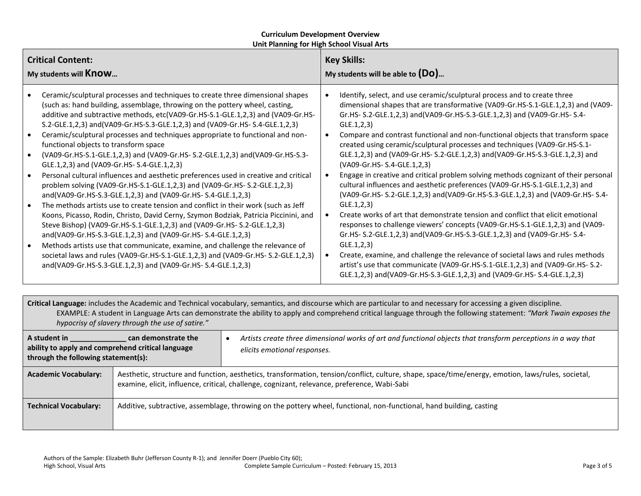| <b>Critical Content:</b><br>My students will Know                                                                                                                                                                                                                                                                                                                                                                                                                                                                                                                                                                                                                                                                                                                                                                                                                                                                                                                                                                                                                                                                                                                                                                                                                                                                                                                                                                                         | <b>Key Skills:</b><br>My students will be able to $(Do)$                                                                                                                                                                                                                                                                                                                                                                                                                                                                                                                                                                                                                                                                                                                                                                                                                                                                                                                                                                                                                                                                                                                                                                                                                                                                                                                                  |  |  |  |
|-------------------------------------------------------------------------------------------------------------------------------------------------------------------------------------------------------------------------------------------------------------------------------------------------------------------------------------------------------------------------------------------------------------------------------------------------------------------------------------------------------------------------------------------------------------------------------------------------------------------------------------------------------------------------------------------------------------------------------------------------------------------------------------------------------------------------------------------------------------------------------------------------------------------------------------------------------------------------------------------------------------------------------------------------------------------------------------------------------------------------------------------------------------------------------------------------------------------------------------------------------------------------------------------------------------------------------------------------------------------------------------------------------------------------------------------|-------------------------------------------------------------------------------------------------------------------------------------------------------------------------------------------------------------------------------------------------------------------------------------------------------------------------------------------------------------------------------------------------------------------------------------------------------------------------------------------------------------------------------------------------------------------------------------------------------------------------------------------------------------------------------------------------------------------------------------------------------------------------------------------------------------------------------------------------------------------------------------------------------------------------------------------------------------------------------------------------------------------------------------------------------------------------------------------------------------------------------------------------------------------------------------------------------------------------------------------------------------------------------------------------------------------------------------------------------------------------------------------|--|--|--|
| Ceramic/sculptural processes and techniques to create three dimensional shapes<br>(such as: hand building, assemblage, throwing on the pottery wheel, casting,<br>additive and subtractive methods, etc(VA09-Gr.HS-S.1-GLE.1,2,3) and (VA09-Gr.HS-<br>S.2-GLE.1,2,3) and (VA09-Gr.HS-S.3-GLE.1,2,3) and (VA09-Gr.HS-S.4-GLE.1,2,3)<br>Ceramic/sculptural processes and techniques appropriate to functional and non-<br>functional objects to transform space<br>(VA09-Gr.HS-S.1-GLE.1,2,3) and (VA09-Gr.HS-S.2-GLE.1,2,3) and (VA09-Gr.HS-S.3-<br>$\bullet$<br>GLE.1,2,3) and (VA09-Gr.HS-S.4-GLE.1,2,3)<br>Personal cultural influences and aesthetic preferences used in creative and critical<br>$\bullet$<br>problem solving (VA09-Gr.HS-S.1-GLE.1,2,3) and (VA09-Gr.HS-S.2-GLE.1,2,3)<br>and(VA09-Gr.HS-S.3-GLE.1,2,3) and (VA09-Gr.HS-S.4-GLE.1,2,3)<br>The methods artists use to create tension and conflict in their work (such as Jeff<br>$\bullet$<br>Koons, Picasso, Rodin, Christo, David Cerny, Szymon Bodziak, Patricia Piccinini, and<br>Steve Bishop) (VA09-Gr.HS-S.1-GLE.1,2,3) and (VA09-Gr.HS- S.2-GLE.1,2,3)<br>and(VA09-Gr.HS-S.3-GLE.1,2,3) and (VA09-Gr.HS-S.4-GLE.1,2,3)<br>Methods artists use that communicate, examine, and challenge the relevance of<br>societal laws and rules (VA09-Gr.HS-S.1-GLE.1,2,3) and (VA09-Gr.HS- S.2-GLE.1,2,3)<br>and(VA09-Gr.HS-S.3-GLE.1,2,3) and (VA09-Gr.HS-S.4-GLE.1,2,3) | Identify, select, and use ceramic/sculptural process and to create three<br>dimensional shapes that are transformative (VA09-Gr.HS-S.1-GLE.1,2,3) and (VA09-<br>Gr.HS- S.2-GLE.1,2,3) and(VA09-Gr.HS-S.3-GLE.1,2,3) and (VA09-Gr.HS- S.4-<br>GLE.1, 2, 3)<br>Compare and contrast functional and non-functional objects that transform space<br>$\bullet$<br>created using ceramic/sculptural processes and techniques (VA09-Gr.HS-S.1-<br>GLE.1,2,3) and (VA09-Gr.HS- S.2-GLE.1,2,3) and (VA09-Gr.HS-S.3-GLE.1,2,3) and<br>(VA09-Gr.HS-S.4-GLE.1,2,3)<br>$\bullet$<br>Engage in creative and critical problem solving methods cognizant of their personal<br>cultural influences and aesthetic preferences (VA09-Gr.HS-S.1-GLE.1,2,3) and<br>(VA09-Gr.HS- S.2-GLE.1,2,3) and (VA09-Gr.HS-S.3-GLE.1,2,3) and (VA09-Gr.HS- S.4-<br>GLE.1, 2, 3)<br>Create works of art that demonstrate tension and conflict that elicit emotional<br>$\bullet$<br>responses to challenge viewers' concepts (VA09-Gr.HS-S.1-GLE.1,2,3) and (VA09-<br>Gr.HS- S.2-GLE.1,2,3) and(VA09-Gr.HS-S.3-GLE.1,2,3) and (VA09-Gr.HS- S.4-<br>GLE.1, 2, 3)<br>Create, examine, and challenge the relevance of societal laws and rules methods<br>$\bullet$<br>artist's use that communicate (VA09-Gr.HS-S.1-GLE.1,2,3) and (VA09-Gr.HS-S.2-<br>GLE.1,2,3) and(VA09-Gr.HS-S.3-GLE.1,2,3) and (VA09-Gr.HS-S.4-GLE.1,2,3) |  |  |  |
| Critical Language: includes the Academic and Technical vocabulary, semantics, and discourse which are particular to and necessary for accessing a given discipline.<br>EXAMPLE: A student in Language Arts can demonstrate the ability to apply and comprehend critical language through the following statement: "Mark Twain exposes the<br>hypocrisy of slavery through the use of satire."                                                                                                                                                                                                                                                                                                                                                                                                                                                                                                                                                                                                                                                                                                                                                                                                                                                                                                                                                                                                                                             |                                                                                                                                                                                                                                                                                                                                                                                                                                                                                                                                                                                                                                                                                                                                                                                                                                                                                                                                                                                                                                                                                                                                                                                                                                                                                                                                                                                           |  |  |  |
| A student in<br><b>Example 10 can demonstrate the</b><br>ability to apply and comprehend critical language<br>through the following statement(s):                                                                                                                                                                                                                                                                                                                                                                                                                                                                                                                                                                                                                                                                                                                                                                                                                                                                                                                                                                                                                                                                                                                                                                                                                                                                                         | Artists create three dimensional works of art and functional objects that transform perceptions in a way that<br>elicits emotional responses.                                                                                                                                                                                                                                                                                                                                                                                                                                                                                                                                                                                                                                                                                                                                                                                                                                                                                                                                                                                                                                                                                                                                                                                                                                             |  |  |  |
| <b>Academic Vocabulary:</b>                                                                                                                                                                                                                                                                                                                                                                                                                                                                                                                                                                                                                                                                                                                                                                                                                                                                                                                                                                                                                                                                                                                                                                                                                                                                                                                                                                                                               | Aesthetic, structure and function, aesthetics, transformation, tension/conflict, culture, shape, space/time/energy, emotion, laws/rules, societal,<br>examine, elicit, influence, critical, challenge, cognizant, relevance, preference, Wabi-Sabi                                                                                                                                                                                                                                                                                                                                                                                                                                                                                                                                                                                                                                                                                                                                                                                                                                                                                                                                                                                                                                                                                                                                        |  |  |  |

**Technical Vocabulary:** | Additive, subtractive, assemblage, throwing on the pottery wheel, functional, non-functional, hand building, casting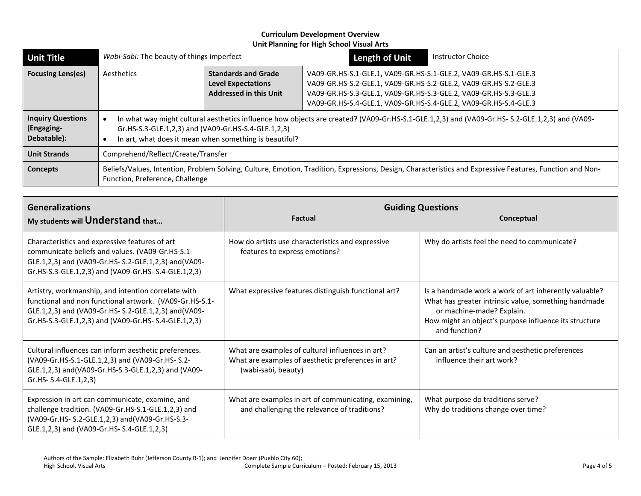| <b>Unit Title</b>                                                                                                                                                                                              | Wabi-Sabi: The beauty of things imperfect                                                                                                                                                                                                                      |                                                                                          | <b>Length of Unit</b>                                                                                                                                                                                                                                                        | <b>Instructor Choice</b> |
|----------------------------------------------------------------------------------------------------------------------------------------------------------------------------------------------------------------|----------------------------------------------------------------------------------------------------------------------------------------------------------------------------------------------------------------------------------------------------------------|------------------------------------------------------------------------------------------|------------------------------------------------------------------------------------------------------------------------------------------------------------------------------------------------------------------------------------------------------------------------------|--------------------------|
| <b>Focusing Lens(es)</b>                                                                                                                                                                                       | Aesthetics                                                                                                                                                                                                                                                     | <b>Standards and Grade</b><br><b>Level Expectations</b><br><b>Addressed in this Unit</b> | VA09-GR.HS-S.1-GLE.1, VA09-GR.HS-S.1-GLE.2, VA09-GR.HS-S.1-GLE.3<br>VA09-GR.HS-S.2-GLE.1, VA09-GR.HS-S.2-GLE.2, VA09-GR.HS-S.2-GLE.3<br>VA09-GR.HS-S.3-GLE.1, VA09-GR.HS-S.3-GLE.2, VA09-GR.HS-S.3-GLE.3<br>VA09-GR.HS-S.4-GLE.1, VA09-GR.HS-S.4-GLE.2, VA09-GR.HS-S.4-GLE.3 |                          |
| <b>Inquiry Questions</b><br>(Engaging-<br>Debatable):                                                                                                                                                          | In what way might cultural aesthetics influence how objects are created? (VA09-Gr.HS-S.1-GLE.1,2,3) and (VA09-Gr.HS-S.2-GLE.1,2,3) and (VA09-<br>Gr.HS-S.3-GLE.1,2,3) and (VA09-Gr.HS-S.4-GLE.1,2,3)<br>In art, what does it mean when something is beautiful? |                                                                                          |                                                                                                                                                                                                                                                                              |                          |
| <b>Unit Strands</b>                                                                                                                                                                                            | Comprehend/Reflect/Create/Transfer                                                                                                                                                                                                                             |                                                                                          |                                                                                                                                                                                                                                                                              |                          |
| Beliefs/Values, Intention, Problem Solving, Culture, Emotion, Tradition, Expressions, Design, Characteristics and Expressive Features, Function and Non-<br><b>Concepts</b><br>Function, Preference, Challenge |                                                                                                                                                                                                                                                                |                                                                                          |                                                                                                                                                                                                                                                                              |                          |

| <b>Generalizations</b><br>My students will Understand that                                                                                                                                                                     | <b>Factual</b>                                                                                                                | <b>Guiding Questions</b><br>Conceptual                                                                                                                                                                               |
|--------------------------------------------------------------------------------------------------------------------------------------------------------------------------------------------------------------------------------|-------------------------------------------------------------------------------------------------------------------------------|----------------------------------------------------------------------------------------------------------------------------------------------------------------------------------------------------------------------|
| Characteristics and expressive features of art<br>communicate beliefs and values. (VA09-Gr.HS-S.1-<br>GLE.1,2,3) and (VA09-Gr.HS-S.2-GLE.1,2,3) and (VA09-<br>Gr.HS-S.3-GLE.1,2,3) and (VA09-Gr.HS-S.4-GLE.1,2,3)              | How do artists use characteristics and expressive<br>features to express emotions?                                            | Why do artists feel the need to communicate?                                                                                                                                                                         |
| Artistry, workmanship, and intention correlate with<br>functional and non functional artwork. (VA09-Gr.HS-S.1-<br>GLE.1,2,3) and (VA09-Gr.HS- S.2-GLE.1,2,3) and (VA09-<br>Gr.HS-S.3-GLE.1,2,3) and (VA09-Gr.HS-S.4-GLE.1,2,3) | What expressive features distinguish functional art?                                                                          | Is a handmade work a work of art inherently valuable?<br>What has greater intrinsic value, something handmade<br>or machine-made? Explain.<br>How might an object's purpose influence its structure<br>and function? |
| Cultural influences can inform aesthetic preferences.<br>(VA09-Gr.HS-S.1-GLE.1,2,3) and (VA09-Gr.HS-S.2-<br>GLE.1,2,3) and (VA09-Gr.HS-S.3-GLE.1,2,3) and (VA09-<br>Gr.HS- S.4-GLE.1,2,3)                                      | What are examples of cultural influences in art?<br>What are examples of aesthetic preferences in art?<br>(wabi-sabi, beauty) | Can an artist's culture and aesthetic preferences<br>influence their art work?                                                                                                                                       |
| Expression in art can communicate, examine, and<br>challenge tradition. (VA09-Gr.HS-S.1-GLE.1,2,3) and<br>(VA09-Gr.HS- S.2-GLE.1,2,3) and (VA09-Gr.HS-S.3-<br>GLE.1,2,3) and (VA09-Gr.HS-S.4-GLE.1,2,3)                        | What are examples in art of communicating, examining,<br>and challenging the relevance of traditions?                         | What purpose do traditions serve?<br>Why do traditions change over time?                                                                                                                                             |